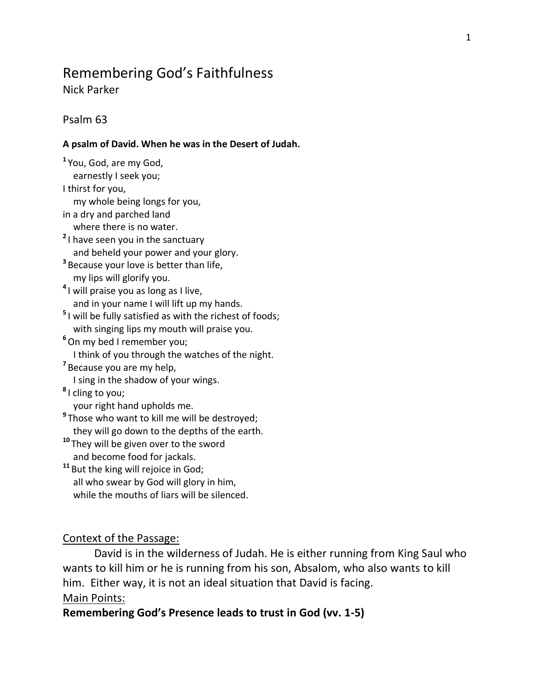# Remembering God's Faithfulness

Nick Parker

### Psalm 63

#### **A psalm of David. When he was in the Desert of Judah.**

**1** You, God, are my God, earnestly I seek you; I thirst for you, my whole being longs for you, in a dry and parched land where there is no water. **2** I have seen you in the sanctuary and beheld your power and your glory. **3** Because your love is better than life, my lips will glorify you. **4** I will praise you as long as I live, and in your name I will lift up my hands. **5** I will be fully satisfied as with the richest of foods; with singing lips my mouth will praise you. **<sup>6</sup>**On my bed I remember you; I think of you through the watches of the night. **7** Because you are my help, I sing in the shadow of your wings. **8** I cling to you; your right hand upholds me. **9** Those who want to kill me will be destroyed; they will go down to the depths of the earth. **<sup>10</sup>** They will be given over to the sword and become food for jackals. **<sup>11</sup>** But the king will rejoice in God; all who swear by God will glory in him, while the mouths of liars will be silenced.

### Context of the Passage:

David is in the wilderness of Judah. He is either running from King Saul who wants to kill him or he is running from his son, Absalom, who also wants to kill him. Either way, it is not an ideal situation that David is facing. Main Points:

### **Remembering God's Presence leads to trust in God (vv. 1-5)**